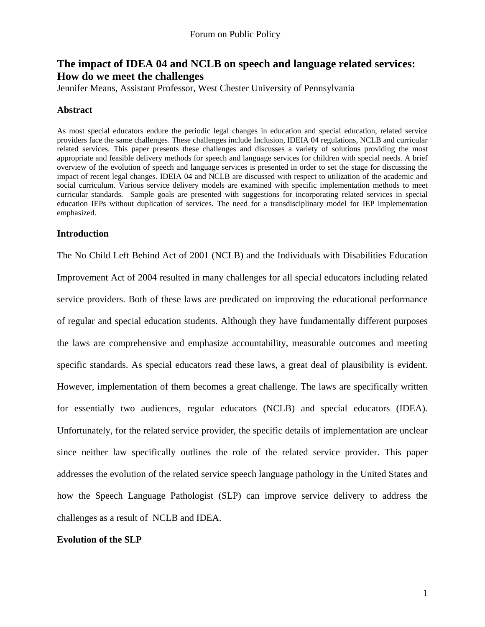# **The impact of IDEA 04 and NCLB on speech and language related services: How do we meet the challenges**

Jennifer Means, Assistant Professor, West Chester University of Pennsylvania

## **Abstract**

As most special educators endure the periodic legal changes in education and special education, related service providers face the same challenges. These challenges include Inclusion, IDEIA 04 regulations, NCLB and curricular related services. This paper presents these challenges and discusses a variety of solutions providing the most appropriate and feasible delivery methods for speech and language services for children with special needs. A brief overview of the evolution of speech and language services is presented in order to set the stage for discussing the impact of recent legal changes. IDEIA 04 and NCLB are discussed with respect to utilization of the academic and social curriculum. Various service delivery models are examined with specific implementation methods to meet curricular standards. Sample goals are presented with suggestions for incorporating related services in special education IEPs without duplication of services. The need for a transdisciplinary model for IEP implementation emphasized.

## **Introduction**

The No Child Left Behind Act of 2001 (NCLB) and the Individuals with Disabilities Education Improvement Act of 2004 resulted in many challenges for all special educators including related service providers. Both of these laws are predicated on improving the educational performance of regular and special education students. Although they have fundamentally different purposes the laws are comprehensive and emphasize accountability, measurable outcomes and meeting specific standards. As special educators read these laws, a great deal of plausibility is evident. However, implementation of them becomes a great challenge. The laws are specifically written for essentially two audiences, regular educators (NCLB) and special educators (IDEA). Unfortunately, for the related service provider, the specific details of implementation are unclear since neither law specifically outlines the role of the related service provider. This paper addresses the evolution of the related service speech language pathology in the United States and how the Speech Language Pathologist (SLP) can improve service delivery to address the challenges as a result of NCLB and IDEA.

## **Evolution of the SLP**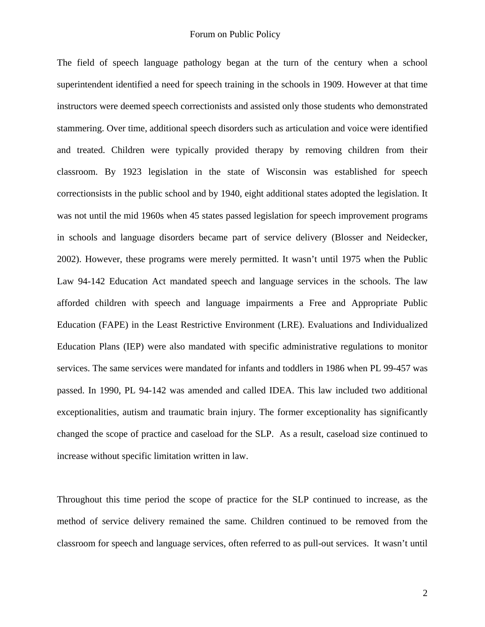The field of speech language pathology began at the turn of the century when a school superintendent identified a need for speech training in the schools in 1909. However at that time instructors were deemed speech correctionists and assisted only those students who demonstrated stammering. Over time, additional speech disorders such as articulation and voice were identified and treated. Children were typically provided therapy by removing children from their classroom. By 1923 legislation in the state of Wisconsin was established for speech correctionsists in the public school and by 1940, eight additional states adopted the legislation. It was not until the mid 1960s when 45 states passed legislation for speech improvement programs in schools and language disorders became part of service delivery (Blosser and Neidecker, 2002). However, these programs were merely permitted. It wasn't until 1975 when the Public Law 94-142 Education Act mandated speech and language services in the schools. The law afforded children with speech and language impairments a Free and Appropriate Public Education (FAPE) in the Least Restrictive Environment (LRE). Evaluations and Individualized Education Plans (IEP) were also mandated with specific administrative regulations to monitor services. The same services were mandated for infants and toddlers in 1986 when PL 99-457 was passed. In 1990, PL 94-142 was amended and called IDEA. This law included two additional exceptionalities, autism and traumatic brain injury. The former exceptionality has significantly changed the scope of practice and caseload for the SLP. As a result, caseload size continued to increase without specific limitation written in law.

Throughout this time period the scope of practice for the SLP continued to increase, as the method of service delivery remained the same. Children continued to be removed from the classroom for speech and language services, often referred to as pull-out services. It wasn't until

2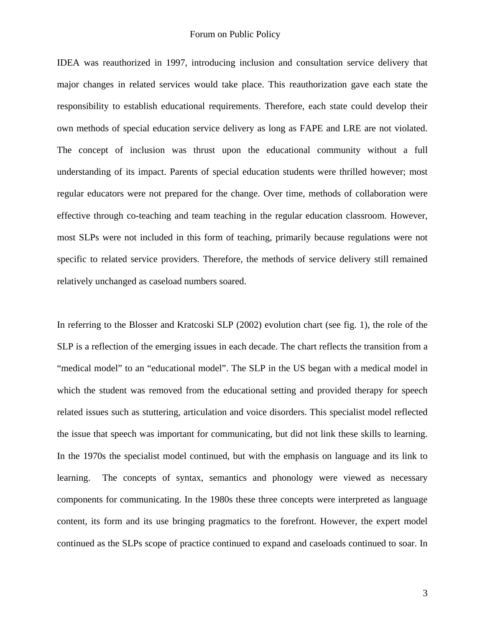IDEA was reauthorized in 1997, introducing inclusion and consultation service delivery that major changes in related services would take place. This reauthorization gave each state the responsibility to establish educational requirements. Therefore, each state could develop their own methods of special education service delivery as long as FAPE and LRE are not violated. The concept of inclusion was thrust upon the educational community without a full understanding of its impact. Parents of special education students were thrilled however; most regular educators were not prepared for the change. Over time, methods of collaboration were effective through co-teaching and team teaching in the regular education classroom. However, most SLPs were not included in this form of teaching, primarily because regulations were not specific to related service providers. Therefore, the methods of service delivery still remained relatively unchanged as caseload numbers soared.

In referring to the Blosser and Kratcoski SLP (2002) evolution chart (see fig. 1), the role of the SLP is a reflection of the emerging issues in each decade. The chart reflects the transition from a "medical model" to an "educational model". The SLP in the US began with a medical model in which the student was removed from the educational setting and provided therapy for speech related issues such as stuttering, articulation and voice disorders. This specialist model reflected the issue that speech was important for communicating, but did not link these skills to learning. In the 1970s the specialist model continued, but with the emphasis on language and its link to learning. The concepts of syntax, semantics and phonology were viewed as necessary components for communicating. In the 1980s these three concepts were interpreted as language content, its form and its use bringing pragmatics to the forefront. However, the expert model continued as the SLPs scope of practice continued to expand and caseloads continued to soar. In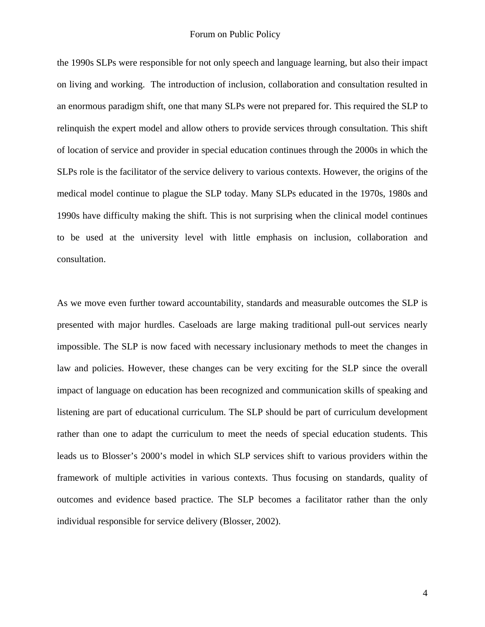the 1990s SLPs were responsible for not only speech and language learning, but also their impact on living and working. The introduction of inclusion, collaboration and consultation resulted in an enormous paradigm shift, one that many SLPs were not prepared for. This required the SLP to relinquish the expert model and allow others to provide services through consultation. This shift of location of service and provider in special education continues through the 2000s in which the SLPs role is the facilitator of the service delivery to various contexts. However, the origins of the medical model continue to plague the SLP today. Many SLPs educated in the 1970s, 1980s and 1990s have difficulty making the shift. This is not surprising when the clinical model continues to be used at the university level with little emphasis on inclusion, collaboration and consultation.

As we move even further toward accountability, standards and measurable outcomes the SLP is presented with major hurdles. Caseloads are large making traditional pull-out services nearly impossible. The SLP is now faced with necessary inclusionary methods to meet the changes in law and policies. However, these changes can be very exciting for the SLP since the overall impact of language on education has been recognized and communication skills of speaking and listening are part of educational curriculum. The SLP should be part of curriculum development rather than one to adapt the curriculum to meet the needs of special education students. This leads us to Blosser's 2000's model in which SLP services shift to various providers within the framework of multiple activities in various contexts. Thus focusing on standards, quality of outcomes and evidence based practice. The SLP becomes a facilitator rather than the only individual responsible for service delivery (Blosser, 2002).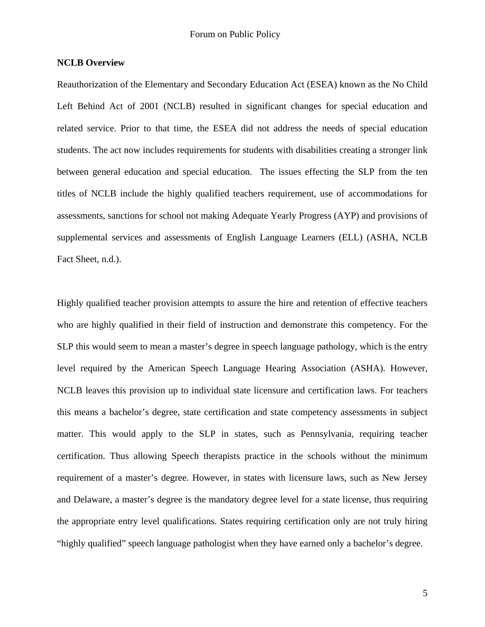## **NCLB Overview**

Reauthorization of the Elementary and Secondary Education Act (ESEA) known as the No Child Left Behind Act of 2001 (NCLB) resulted in significant changes for special education and related service. Prior to that time, the ESEA did not address the needs of special education students. The act now includes requirements for students with disabilities creating a stronger link between general education and special education. The issues effecting the SLP from the ten titles of NCLB include the highly qualified teachers requirement, use of accommodations for assessments, sanctions for school not making Adequate Yearly Progress (AYP) and provisions of supplemental services and assessments of English Language Learners (ELL) (ASHA, NCLB Fact Sheet, n.d.).

Highly qualified teacher provision attempts to assure the hire and retention of effective teachers who are highly qualified in their field of instruction and demonstrate this competency. For the SLP this would seem to mean a master's degree in speech language pathology, which is the entry level required by the American Speech Language Hearing Association (ASHA). However, NCLB leaves this provision up to individual state licensure and certification laws. For teachers this means a bachelor's degree, state certification and state competency assessments in subject matter. This would apply to the SLP in states, such as Pennsylvania, requiring teacher certification. Thus allowing Speech therapists practice in the schools without the minimum requirement of a master's degree. However, in states with licensure laws, such as New Jersey and Delaware, a master's degree is the mandatory degree level for a state license, thus requiring the appropriate entry level qualifications. States requiring certification only are not truly hiring "highly qualified" speech language pathologist when they have earned only a bachelor's degree.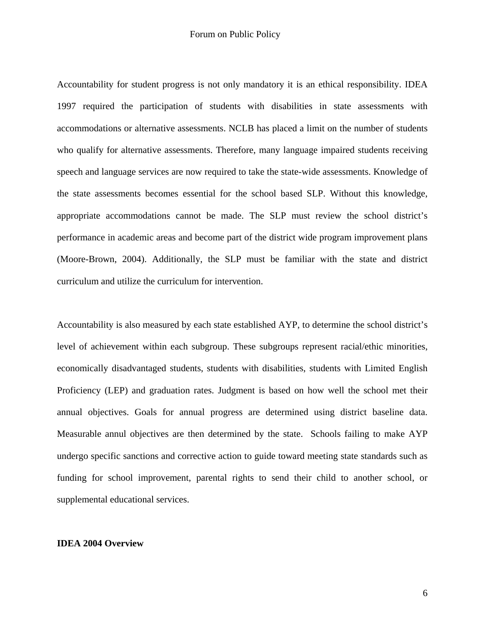Accountability for student progress is not only mandatory it is an ethical responsibility. IDEA 1997 required the participation of students with disabilities in state assessments with accommodations or alternative assessments. NCLB has placed a limit on the number of students who qualify for alternative assessments. Therefore, many language impaired students receiving speech and language services are now required to take the state-wide assessments. Knowledge of the state assessments becomes essential for the school based SLP. Without this knowledge, appropriate accommodations cannot be made. The SLP must review the school district's performance in academic areas and become part of the district wide program improvement plans (Moore-Brown, 2004). Additionally, the SLP must be familiar with the state and district curriculum and utilize the curriculum for intervention.

Accountability is also measured by each state established AYP, to determine the school district's level of achievement within each subgroup. These subgroups represent racial/ethic minorities, economically disadvantaged students, students with disabilities, students with Limited English Proficiency (LEP) and graduation rates. Judgment is based on how well the school met their annual objectives. Goals for annual progress are determined using district baseline data. Measurable annul objectives are then determined by the state. Schools failing to make AYP undergo specific sanctions and corrective action to guide toward meeting state standards such as funding for school improvement, parental rights to send their child to another school, or supplemental educational services.

#### **IDEA 2004 Overview**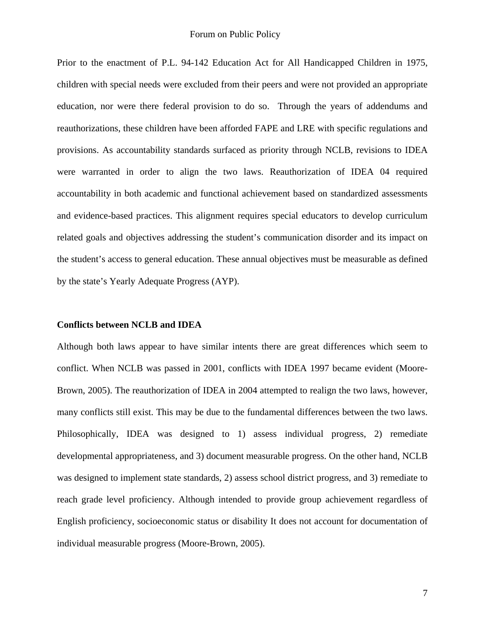Prior to the enactment of P.L. 94-142 Education Act for All Handicapped Children in 1975, children with special needs were excluded from their peers and were not provided an appropriate education, nor were there federal provision to do so. Through the years of addendums and reauthorizations, these children have been afforded FAPE and LRE with specific regulations and provisions. As accountability standards surfaced as priority through NCLB, revisions to IDEA were warranted in order to align the two laws. Reauthorization of IDEA 04 required accountability in both academic and functional achievement based on standardized assessments and evidence-based practices. This alignment requires special educators to develop curriculum related goals and objectives addressing the student's communication disorder and its impact on the student's access to general education. These annual objectives must be measurable as defined by the state's Yearly Adequate Progress (AYP).

#### **Conflicts between NCLB and IDEA**

Although both laws appear to have similar intents there are great differences which seem to conflict. When NCLB was passed in 2001, conflicts with IDEA 1997 became evident (Moore-Brown, 2005). The reauthorization of IDEA in 2004 attempted to realign the two laws, however, many conflicts still exist. This may be due to the fundamental differences between the two laws. Philosophically, IDEA was designed to 1) assess individual progress, 2) remediate developmental appropriateness, and 3) document measurable progress. On the other hand, NCLB was designed to implement state standards, 2) assess school district progress, and 3) remediate to reach grade level proficiency. Although intended to provide group achievement regardless of English proficiency, socioeconomic status or disability It does not account for documentation of individual measurable progress (Moore-Brown, 2005).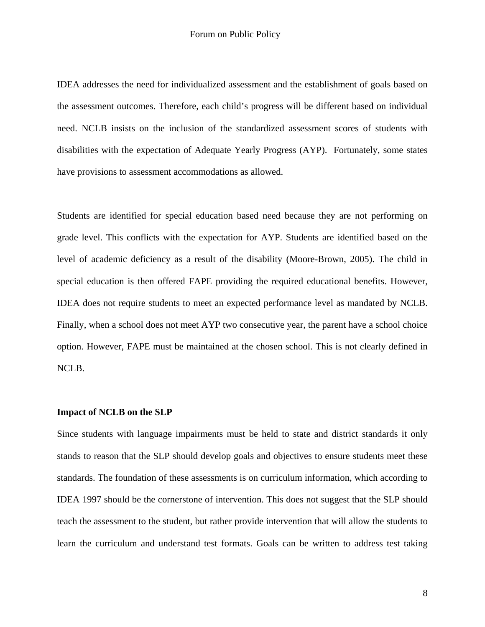IDEA addresses the need for individualized assessment and the establishment of goals based on the assessment outcomes. Therefore, each child's progress will be different based on individual need. NCLB insists on the inclusion of the standardized assessment scores of students with disabilities with the expectation of Adequate Yearly Progress (AYP). Fortunately, some states have provisions to assessment accommodations as allowed.

Students are identified for special education based need because they are not performing on grade level. This conflicts with the expectation for AYP. Students are identified based on the level of academic deficiency as a result of the disability (Moore-Brown, 2005). The child in special education is then offered FAPE providing the required educational benefits. However, IDEA does not require students to meet an expected performance level as mandated by NCLB. Finally, when a school does not meet AYP two consecutive year, the parent have a school choice option. However, FAPE must be maintained at the chosen school. This is not clearly defined in NCLB.

#### **Impact of NCLB on the SLP**

Since students with language impairments must be held to state and district standards it only stands to reason that the SLP should develop goals and objectives to ensure students meet these standards. The foundation of these assessments is on curriculum information, which according to IDEA 1997 should be the cornerstone of intervention. This does not suggest that the SLP should teach the assessment to the student, but rather provide intervention that will allow the students to learn the curriculum and understand test formats. Goals can be written to address test taking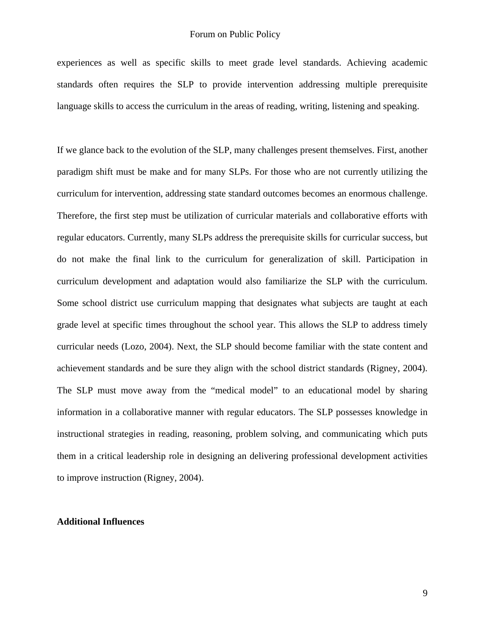experiences as well as specific skills to meet grade level standards. Achieving academic standards often requires the SLP to provide intervention addressing multiple prerequisite language skills to access the curriculum in the areas of reading, writing, listening and speaking.

If we glance back to the evolution of the SLP, many challenges present themselves. First, another paradigm shift must be make and for many SLPs. For those who are not currently utilizing the curriculum for intervention, addressing state standard outcomes becomes an enormous challenge. Therefore, the first step must be utilization of curricular materials and collaborative efforts with regular educators. Currently, many SLPs address the prerequisite skills for curricular success, but do not make the final link to the curriculum for generalization of skill. Participation in curriculum development and adaptation would also familiarize the SLP with the curriculum. Some school district use curriculum mapping that designates what subjects are taught at each grade level at specific times throughout the school year. This allows the SLP to address timely curricular needs (Lozo, 2004). Next, the SLP should become familiar with the state content and achievement standards and be sure they align with the school district standards (Rigney, 2004). The SLP must move away from the "medical model" to an educational model by sharing information in a collaborative manner with regular educators. The SLP possesses knowledge in instructional strategies in reading, reasoning, problem solving, and communicating which puts them in a critical leadership role in designing an delivering professional development activities to improve instruction (Rigney, 2004).

#### **Additional Influences**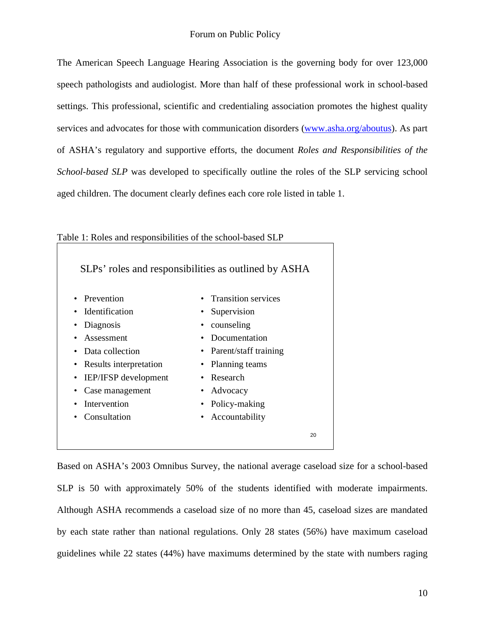The American Speech Language Hearing Association is the governing body for over 123,000 speech pathologists and audiologist. More than half of these professional work in school-based settings. This professional, scientific and credentialing association promotes the highest quality services and advocates for those with communication disorders [\(www.asha.org/aboutus](http://www.asha.org/aboutus)). As part of ASHA's regulatory and supportive efforts, the document *Roles and Responsibilities of the School-based SLP* was developed to specifically outline the roles of the SLP servicing school aged children. The document clearly defines each core role listed in table 1.

| Table 1: Roles and responsibilities of the school-based SLP |                         |  |  |  |  |
|-------------------------------------------------------------|-------------------------|--|--|--|--|
| SLPs' roles and responsibilities as outlined by ASHA        |                         |  |  |  |  |
| • Prevention                                                | • Transition services   |  |  |  |  |
| <b>Identification</b>                                       | • Supervision           |  |  |  |  |
| Diagnosis<br>$\bullet$                                      | counseling              |  |  |  |  |
| Assessment                                                  | Documentation           |  |  |  |  |
| Data collection<br>$\bullet$                                | • Parent/staff training |  |  |  |  |
| Results interpretation<br>$\bullet$                         | Planning teams          |  |  |  |  |
| IEP/IFSP development                                        | • Research              |  |  |  |  |
| Case management                                             | Advocacy<br>$\bullet$   |  |  |  |  |
| Intervention                                                | Policy-making           |  |  |  |  |
| Consultation                                                | Accountability          |  |  |  |  |
|                                                             | 20                      |  |  |  |  |

Table 1: Roles and responsibilities of the school-based SLP

Based on ASHA's 2003 Omnibus Survey, the national average caseload size for a school-based SLP is 50 with approximately 50% of the students identified with moderate impairments. Although ASHA recommends a caseload size of no more than 45, caseload sizes are mandated by each state rather than national regulations. Only 28 states (56%) have maximum caseload guidelines while 22 states (44%) have maximums determined by the state with numbers raging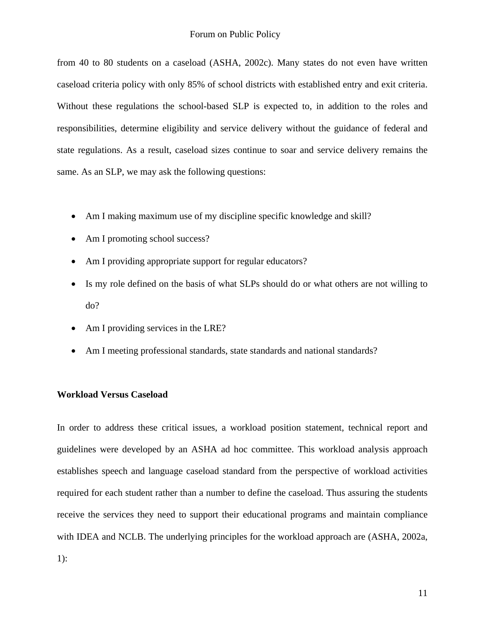from 40 to 80 students on a caseload (ASHA, 2002c). Many states do not even have written caseload criteria policy with only 85% of school districts with established entry and exit criteria. Without these regulations the school-based SLP is expected to, in addition to the roles and responsibilities, determine eligibility and service delivery without the guidance of federal and state regulations. As a result, caseload sizes continue to soar and service delivery remains the same. As an SLP, we may ask the following questions:

- Am I making maximum use of my discipline specific knowledge and skill?
- Am I promoting school success?
- Am I providing appropriate support for regular educators?
- Is my role defined on the basis of what SLPs should do or what others are not willing to do?
- Am I providing services in the LRE?
- Am I meeting professional standards, state standards and national standards?

## **Workload Versus Caseload**

In order to address these critical issues, a workload position statement, technical report and guidelines were developed by an ASHA ad hoc committee. This workload analysis approach establishes speech and language caseload standard from the perspective of workload activities required for each student rather than a number to define the caseload. Thus assuring the students receive the services they need to support their educational programs and maintain compliance with IDEA and NCLB. The underlying principles for the workload approach are (ASHA, 2002a,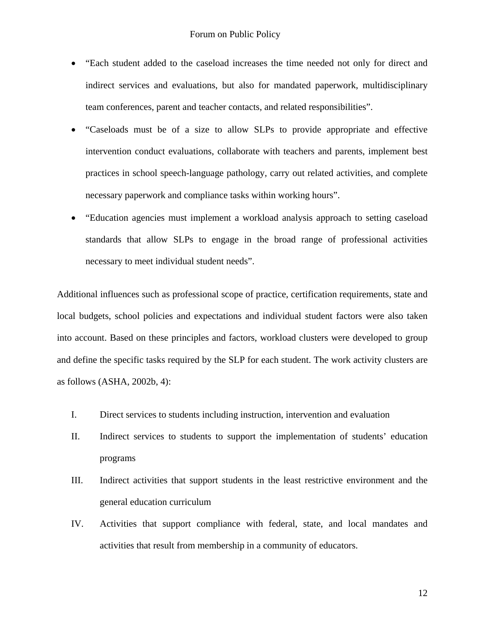- "Each student added to the caseload increases the time needed not only for direct and indirect services and evaluations, but also for mandated paperwork, multidisciplinary team conferences, parent and teacher contacts, and related responsibilities".
- "Caseloads must be of a size to allow SLPs to provide appropriate and effective intervention conduct evaluations, collaborate with teachers and parents, implement best practices in school speech-language pathology, carry out related activities, and complete necessary paperwork and compliance tasks within working hours".
- "Education agencies must implement a workload analysis approach to setting caseload standards that allow SLPs to engage in the broad range of professional activities necessary to meet individual student needs".

Additional influences such as professional scope of practice, certification requirements, state and local budgets, school policies and expectations and individual student factors were also taken into account. Based on these principles and factors, workload clusters were developed to group and define the specific tasks required by the SLP for each student. The work activity clusters are as follows (ASHA, 2002b, 4):

- I. Direct services to students including instruction, intervention and evaluation
- II. Indirect services to students to support the implementation of students' education programs
- III. Indirect activities that support students in the least restrictive environment and the general education curriculum
- IV. Activities that support compliance with federal, state, and local mandates and activities that result from membership in a community of educators.

12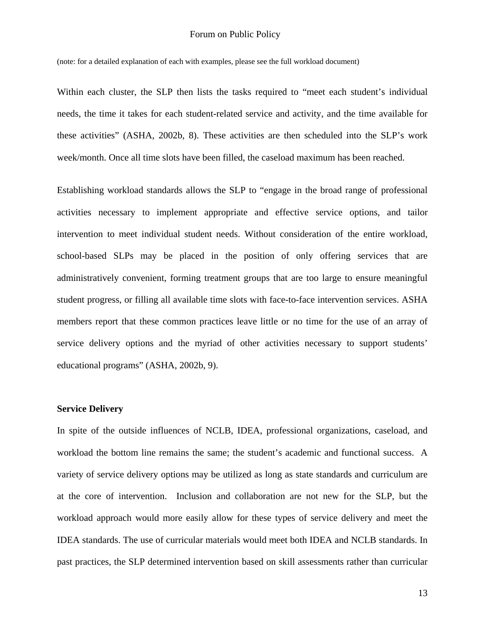#### Forum on Public Policy

(note: for a detailed explanation of each with examples, please see the full workload document)

Within each cluster, the SLP then lists the tasks required to "meet each student's individual needs, the time it takes for each student-related service and activity, and the time available for these activities" (ASHA, 2002b, 8). These activities are then scheduled into the SLP's work week/month. Once all time slots have been filled, the caseload maximum has been reached.

Establishing workload standards allows the SLP to "engage in the broad range of professional activities necessary to implement appropriate and effective service options, and tailor intervention to meet individual student needs. Without consideration of the entire workload, school-based SLPs may be placed in the position of only offering services that are administratively convenient, forming treatment groups that are too large to ensure meaningful student progress, or filling all available time slots with face-to-face intervention services. ASHA members report that these common practices leave little or no time for the use of an array of service delivery options and the myriad of other activities necessary to support students' educational programs" (ASHA, 2002b, 9).

## **Service Delivery**

In spite of the outside influences of NCLB, IDEA, professional organizations, caseload, and workload the bottom line remains the same; the student's academic and functional success. A variety of service delivery options may be utilized as long as state standards and curriculum are at the core of intervention. Inclusion and collaboration are not new for the SLP, but the workload approach would more easily allow for these types of service delivery and meet the IDEA standards. The use of curricular materials would meet both IDEA and NCLB standards. In past practices, the SLP determined intervention based on skill assessments rather than curricular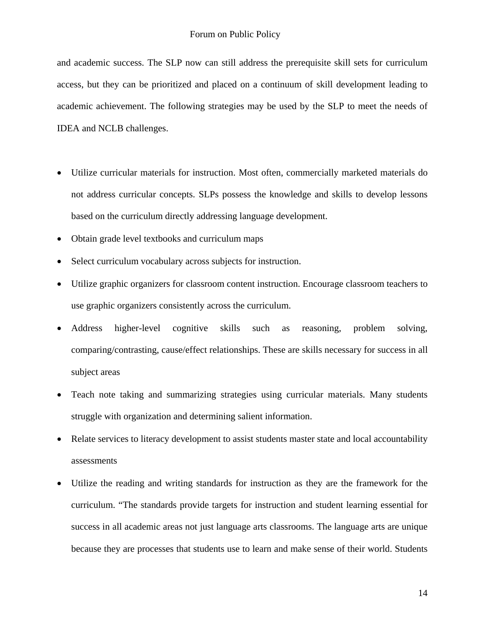and academic success. The SLP now can still address the prerequisite skill sets for curriculum access, but they can be prioritized and placed on a continuum of skill development leading to academic achievement. The following strategies may be used by the SLP to meet the needs of IDEA and NCLB challenges.

- Utilize curricular materials for instruction. Most often, commercially marketed materials do not address curricular concepts. SLPs possess the knowledge and skills to develop lessons based on the curriculum directly addressing language development.
- Obtain grade level textbooks and curriculum maps
- Select curriculum vocabulary across subjects for instruction.
- Utilize graphic organizers for classroom content instruction. Encourage classroom teachers to use graphic organizers consistently across the curriculum.
- Address higher-level cognitive skills such as reasoning, problem solving, comparing/contrasting, cause/effect relationships. These are skills necessary for success in all subject areas
- Teach note taking and summarizing strategies using curricular materials. Many students struggle with organization and determining salient information.
- Relate services to literacy development to assist students master state and local accountability assessments
- Utilize the reading and writing standards for instruction as they are the framework for the curriculum. "The standards provide targets for instruction and student learning essential for success in all academic areas not just language arts classrooms. The language arts are unique because they are processes that students use to learn and make sense of their world. Students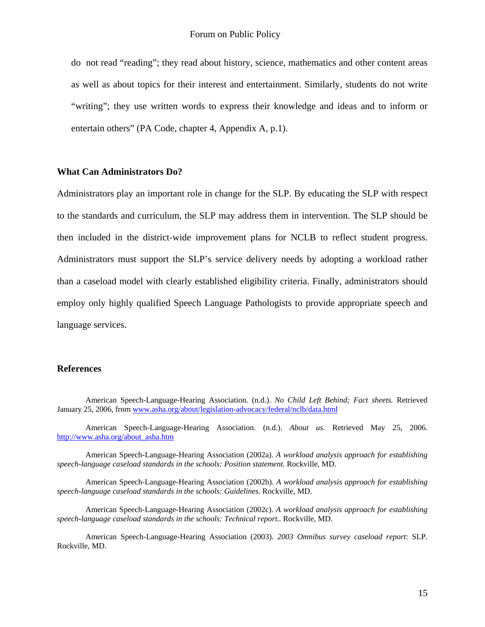do not read "reading"; they read about history, science, mathematics and other content areas as well as about topics for their interest and entertainment. Similarly, students do not write "writing"; they use written words to express their knowledge and ideas and to inform or entertain others" (PA Code, chapter 4, Appendix A, p.1).

## **What Can Administrators Do?**

Administrators play an important role in change for the SLP. By educating the SLP with respect to the standards and curriculum, the SLP may address them in intervention. The SLP should be then included in the district-wide improvement plans for NCLB to reflect student progress. Administrators must support the SLP's service delivery needs by adopting a workload rather than a caseload model with clearly established eligibility criteria. Finally, administrators should employ only highly qualified Speech Language Pathologists to provide appropriate speech and language services.

## **References**

American Speech-Language-Hearing Association. (n.d.). *About us*. Retrieved May 25, 2006. [http://www.asha.org/about\\_asha.htm](http://www.asha.org/about_asha.htm)

American Speech-Language-Hearing Association (2002a). *A workload analysis approach for establishing speech-language caseload standards in the schools: Position statement.* Rockville, MD.

American Speech-Language-Hearing Association (2002b). *A workload analysis approach for establishing speech-language caseload standards in the schools: Guidelines.* Rockville, MD.

American Speech-Language-Hearing Association (2002c). *A workload analysis approach for establishing speech-language caseload standards in the schools: Technical report..* Rockville, MD.

American Speech-Language-Hearing Association (2003). *2003 Omnibus survey caseload report*: SLP. Rockville, MD.

American Speech-Language-Hearing Association. (n.d.). *No Child Left Behind; Fact sheets.* Retrieved January 25, 2006, from [www.asha.org/about/legislation-advocacy/federal/nclb/data.html](http://www.asha.org/about/legislation-advocacy/federal/nclb/data.html)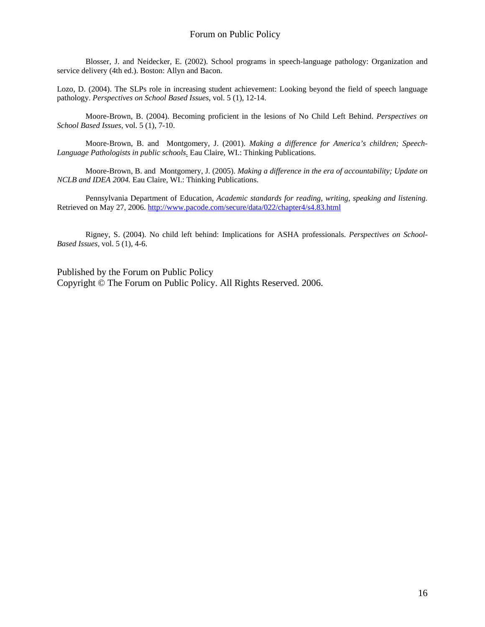Blosser, J. and Neidecker, E. (2002). School programs in speech-language pathology: Organization and service delivery (4th ed.). Boston: Allyn and Bacon.

Lozo, D. (2004). The SLPs role in increasing student achievement: Looking beyond the field of speech language pathology. *Perspectives on School Based Issues*, vol. 5 (1), 12-14.

Moore-Brown, B. (2004). Becoming proficient in the lesions of No Child Left Behind. *Perspectives on School Based Issues*, vol. 5 (1), 7-10.

Moore-Brown, B. and Montgomery, J. (2001). *Making a difference for America's children; Speech-Language Pathologists in public schools*. Eau Claire, WI.: Thinking Publications.

Moore-Brown, B. and Montgomery, J. (2005). *Making a difference in the era of accountability; Update on NCLB and IDEA 2004.* Eau Claire, WI.: Thinking Publications.

Pennsylvania Department of Education, *Academic standards for reading, writing, speaking and listening.*  Retrieved on May 27, 2006. <http://www.pacode.com/secure/data/022/chapter4/s4.83.html>

 Rigney, S. (2004). No child left behind: Implications for ASHA professionals. *Perspectives on School-Based Issues,* vol. 5 (1), 4-6.

Published by the Forum on Public Policy Copyright © The Forum on Public Policy. All Rights Reserved. 2006.